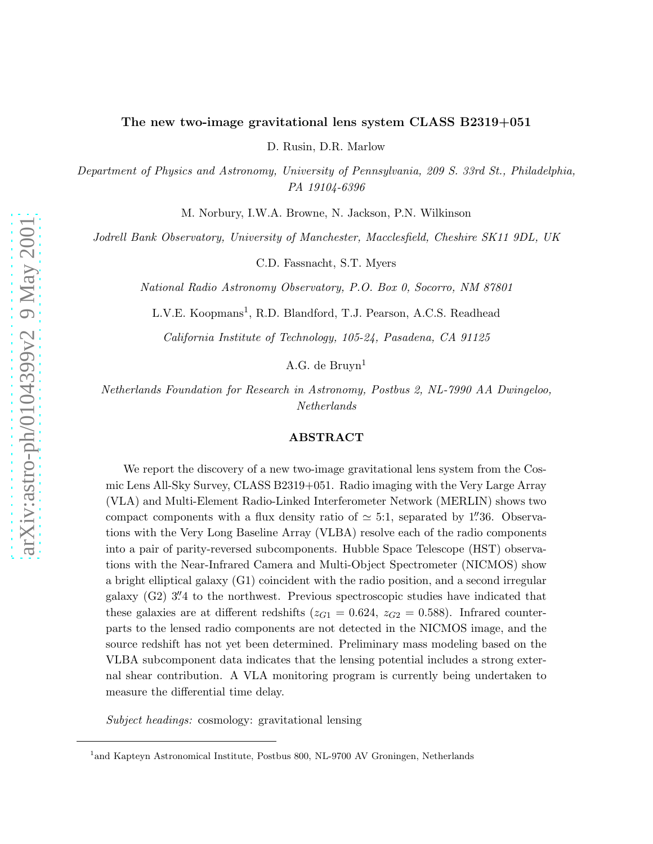# The new two-image gravitational lens system CLASS B2319+051

D. Rusin, D.R. Marlow

*Department of Physics and Astronomy, University of Pennsylvania, 209 S. 33rd St., Philadelphia, PA 19104-6396*

M. Norbury, I.W.A. Browne, N. Jackson, P.N. Wilkinson

*Jodrell Bank Observatory, University of Manchester, Macclesfield, Cheshire SK11 9DL, UK*

C.D. Fassnacht, S.T. Myers

*National Radio Astronomy Observatory, P.O. Box 0, Socorro, NM 87801*

L.V.E. Koopmans<sup>1</sup>, R.D. Blandford, T.J. Pearson, A.C.S. Readhead

*California Institute of Technology, 105-24, Pasadena, CA 91125*

A.G. de Bruyn $<sup>1</sup>$ </sup>

*Netherlands Foundation for Research in Astronomy, Postbus 2, NL-7990 AA Dwingeloo, Netherlands*

## ABSTRACT

We report the discovery of a new two-image gravitational lens system from the Cosmic Lens All-Sky Survey, CLASS B2319+051. Radio imaging with the Very Large Array (VLA) and Multi-Element Radio-Linked Interferometer Network (MERLIN) shows two compact components with a flux density ratio of  $\simeq$  5:1, separated by 1''36. Observations with the Very Long Baseline Array (VLBA) resolve each of the radio components into a pair of parity-reversed subcomponents. Hubble Space Telescope (HST) observations with the Near-Infrared Camera and Multi-Object Spectrometer (NICMOS) show a bright elliptical galaxy (G1) coincident with the radio position, and a second irregular galaxy (G2) 3. 4 to the northwest. Previous spectroscopic studies have indicated that these galaxies are at different redshifts ( $z_{G1} = 0.624$ ,  $z_{G2} = 0.588$ ). Infrared counterparts to the lensed radio components are not detected in the NICMOS image, and the source redshift has not yet been determined. Preliminary mass modeling based on the VLBA subcomponent data indicates that the lensing potential includes a strong external shear contribution. A VLA monitoring program is currently being undertaken to measure the differential time delay.

*Subject headings:* cosmology: gravitational lensing

<sup>&</sup>lt;sup>1</sup> and Kapteyn Astronomical Institute, Postbus 800, NL-9700 AV Groningen, Netherlands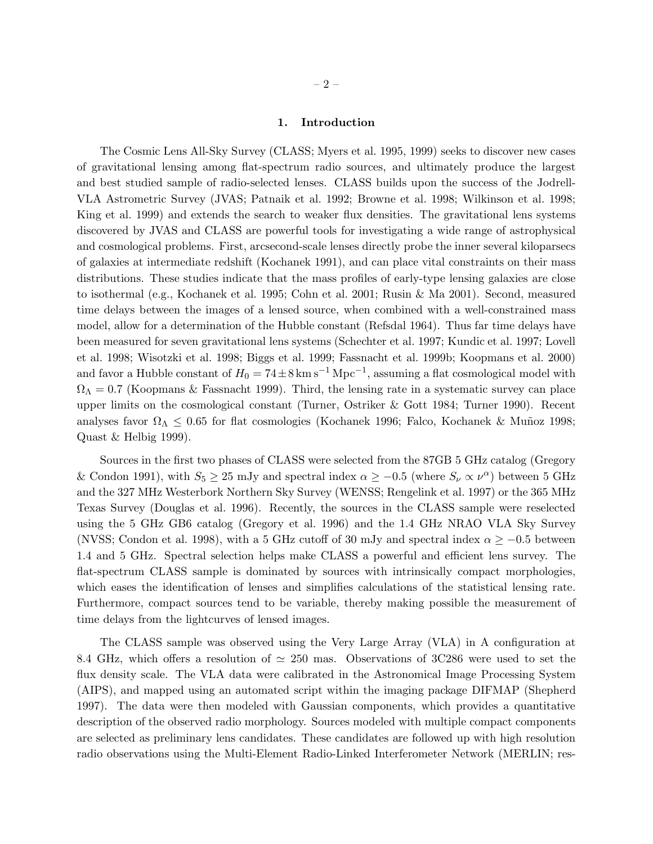### 1. Introduction

The Cosmic Lens All-Sky Survey (CLASS; Myers et al. 1995, 1999) seeks to discover new cases of gravitational lensing among flat-spectrum radio sources, and ultimately produce the largest and best studied sample of radio-selected lenses. CLASS builds upon the success of the Jodrell-VLA Astrometric Survey (JVAS; Patnaik et al. 1992; Browne et al. 1998; Wilkinson et al. 1998; King et al. 1999) and extends the search to weaker flux densities. The gravitational lens systems discovered by JVAS and CLASS are powerful tools for investigating a wide range of astrophysical and cosmological problems. First, arcsecond-scale lenses directly probe the inner several kiloparsecs of galaxies at intermediate redshift (Kochanek 1991), and can place vital constraints on their mass distributions. These studies indicate that the mass profiles of early-type lensing galaxies are close to isothermal (e.g., Kochanek et al. 1995; Cohn et al. 2001; Rusin & Ma 2001). Second, measured time delays between the images of a lensed source, when combined with a well-constrained mass model, allow for a determination of the Hubble constant (Refsdal 1964). Thus far time delays have been measured for seven gravitational lens systems (Schechter et al. 1997; Kundic et al. 1997; Lovell et al. 1998; Wisotzki et al. 1998; Biggs et al. 1999; Fassnacht et al. 1999b; Koopmans et al. 2000) and favor a Hubble constant of  $H_0 = 74 \pm 8 \text{ km s}^{-1} \text{ Mpc}^{-1}$ , assuming a flat cosmological model with  $\Omega_{\Lambda} = 0.7$  (Koopmans & Fassnacht 1999). Third, the lensing rate in a systematic survey can place upper limits on the cosmological constant (Turner, Ostriker & Gott 1984; Turner 1990). Recent analyses favor  $\Omega_{\Lambda} \leq 0.65$  for flat cosmologies (Kochanek 1996; Falco, Kochanek & Muñoz 1998; Quast & Helbig 1999).

Sources in the first two phases of CLASS were selected from the 87GB 5 GHz catalog (Gregory & Condon 1991), with  $S_5 \geq 25$  mJy and spectral index  $\alpha \geq -0.5$  (where  $S_{\nu} \propto \nu^{\alpha}$ ) between 5 GHz and the 327 MHz Westerbork Northern Sky Survey (WENSS; Rengelink et al. 1997) or the 365 MHz Texas Survey (Douglas et al. 1996). Recently, the sources in the CLASS sample were reselected using the 5 GHz GB6 catalog (Gregory et al. 1996) and the 1.4 GHz NRAO VLA Sky Survey (NVSS; Condon et al. 1998), with a 5 GHz cutoff of 30 mJy and spectral index  $\alpha \ge -0.5$  between 1.4 and 5 GHz. Spectral selection helps make CLASS a powerful and efficient lens survey. The flat-spectrum CLASS sample is dominated by sources with intrinsically compact morphologies, which eases the identification of lenses and simplifies calculations of the statistical lensing rate. Furthermore, compact sources tend to be variable, thereby making possible the measurement of time delays from the lightcurves of lensed images.

The CLASS sample was observed using the Very Large Array (VLA) in A configuration at 8.4 GHz, which offers a resolution of  $\simeq 250$  mas. Observations of 3C286 were used to set the flux density scale. The VLA data were calibrated in the Astronomical Image Processing System (AIPS), and mapped using an automated script within the imaging package DIFMAP (Shepherd 1997). The data were then modeled with Gaussian components, which provides a quantitative description of the observed radio morphology. Sources modeled with multiple compact components are selected as preliminary lens candidates. These candidates are followed up with high resolution radio observations using the Multi-Element Radio-Linked Interferometer Network (MERLIN; res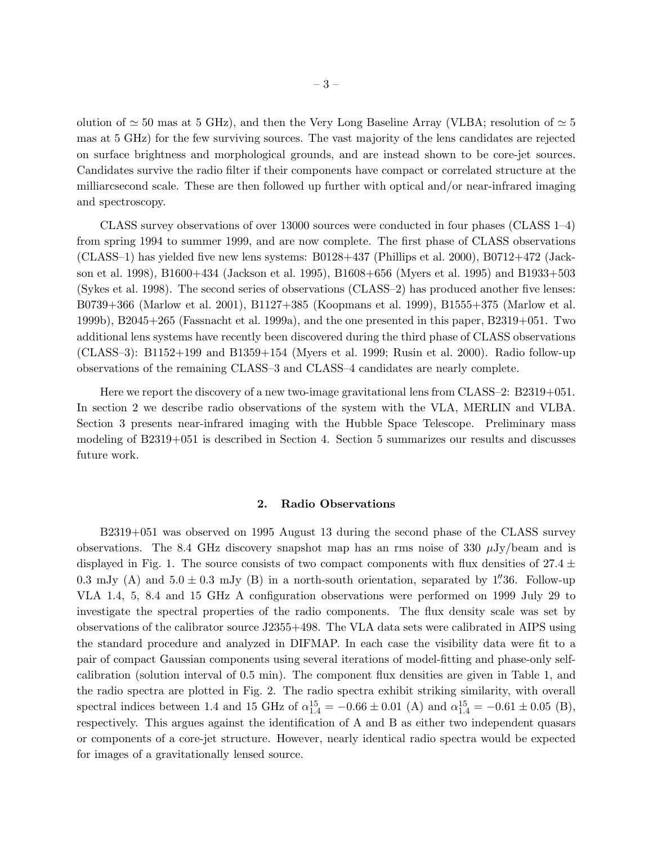olution of  $\simeq$  50 mas at 5 GHz), and then the Very Long Baseline Array (VLBA; resolution of  $\simeq$  5 mas at 5 GHz) for the few surviving sources. The vast majority of the lens candidates are rejected on surface brightness and morphological grounds, and are instead shown to be core-jet sources. Candidates survive the radio filter if their components have compact or correlated structure at the milliarcsecond scale. These are then followed up further with optical and/or near-infrared imaging and spectroscopy.

CLASS survey observations of over 13000 sources were conducted in four phases (CLASS 1–4) from spring 1994 to summer 1999, and are now complete. The first phase of CLASS observations (CLASS–1) has yielded five new lens systems: B0128+437 (Phillips et al. 2000), B0712+472 (Jackson et al. 1998), B1600+434 (Jackson et al. 1995), B1608+656 (Myers et al. 1995) and B1933+503 (Sykes et al. 1998). The second series of observations (CLASS–2) has produced another five lenses: B0739+366 (Marlow et al. 2001), B1127+385 (Koopmans et al. 1999), B1555+375 (Marlow et al. 1999b), B2045+265 (Fassnacht et al. 1999a), and the one presented in this paper, B2319+051. Two additional lens systems have recently been discovered during the third phase of CLASS observations (CLASS–3): B1152+199 and B1359+154 (Myers et al. 1999; Rusin et al. 2000). Radio follow-up observations of the remaining CLASS–3 and CLASS–4 candidates are nearly complete.

Here we report the discovery of a new two-image gravitational lens from CLASS–2: B2319+051. In section 2 we describe radio observations of the system with the VLA, MERLIN and VLBA. Section 3 presents near-infrared imaging with the Hubble Space Telescope. Preliminary mass modeling of B2319+051 is described in Section 4. Section 5 summarizes our results and discusses future work.

## 2. Radio Observations

B2319+051 was observed on 1995 August 13 during the second phase of the CLASS survey observations. The 8.4 GHz discovery snapshot map has an rms noise of 330  $\mu$ Jy/beam and is displayed in Fig. 1. The source consists of two compact components with flux densities of  $27.4 \pm$ 0.3 mJy (A) and  $5.0 \pm 0.3$  mJy (B) in a north-south orientation, separated by 1''36. Follow-up VLA 1.4, 5, 8.4 and 15 GHz A configuration observations were performed on 1999 July 29 to investigate the spectral properties of the radio components. The flux density scale was set by observations of the calibrator source J2355+498. The VLA data sets were calibrated in AIPS using the standard procedure and analyzed in DIFMAP. In each case the visibility data were fit to a pair of compact Gaussian components using several iterations of model-fitting and phase-only selfcalibration (solution interval of 0.5 min). The component flux densities are given in Table 1, and the radio spectra are plotted in Fig. 2. The radio spectra exhibit striking similarity, with overall spectral indices between 1.4 and 15 GHz of  $\alpha_{1.4}^{15} = -0.66 \pm 0.01$  (A) and  $\alpha_{1.4}^{15} = -0.61 \pm 0.05$  (B), respectively. This argues against the identification of A and B as either two independent quasars or components of a core-jet structure. However, nearly identical radio spectra would be expected for images of a gravitationally lensed source.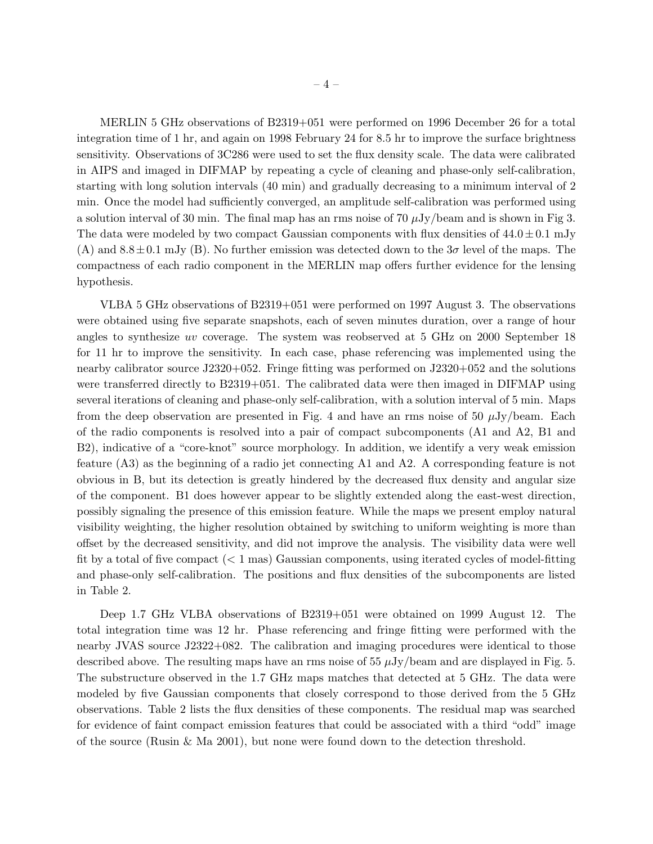MERLIN 5 GHz observations of B2319+051 were performed on 1996 December 26 for a total integration time of 1 hr, and again on 1998 February 24 for 8.5 hr to improve the surface brightness sensitivity. Observations of 3C286 were used to set the flux density scale. The data were calibrated in AIPS and imaged in DIFMAP by repeating a cycle of cleaning and phase-only self-calibration, starting with long solution intervals (40 min) and gradually decreasing to a minimum interval of 2 min. Once the model had sufficiently converged, an amplitude self-calibration was performed using a solution interval of 30 min. The final map has an rms noise of 70  $\mu$ Jy/beam and is shown in Fig 3. The data were modeled by two compact Gaussian components with flux densities of  $44.0 \pm 0.1$  mJy (A) and 8.8 $\pm$ 0.1 mJy (B). No further emission was detected down to the  $3\sigma$  level of the maps. The compactness of each radio component in the MERLIN map offers further evidence for the lensing hypothesis.

VLBA 5 GHz observations of B2319+051 were performed on 1997 August 3. The observations were obtained using five separate snapshots, each of seven minutes duration, over a range of hour angles to synthesize uv coverage. The system was reobserved at 5 GHz on 2000 September 18 for 11 hr to improve the sensitivity. In each case, phase referencing was implemented using the nearby calibrator source J2320+052. Fringe fitting was performed on J2320+052 and the solutions were transferred directly to B2319+051. The calibrated data were then imaged in DIFMAP using several iterations of cleaning and phase-only self-calibration, with a solution interval of 5 min. Maps from the deep observation are presented in Fig. 4 and have an rms noise of 50  $\mu$ Jy/beam. Each of the radio components is resolved into a pair of compact subcomponents (A1 and A2, B1 and B2), indicative of a "core-knot" source morphology. In addition, we identify a very weak emission feature (A3) as the beginning of a radio jet connecting A1 and A2. A corresponding feature is not obvious in B, but its detection is greatly hindered by the decreased flux density and angular size of the component. B1 does however appear to be slightly extended along the east-west direction, possibly signaling the presence of this emission feature. While the maps we present employ natural visibility weighting, the higher resolution obtained by switching to uniform weighting is more than offset by the decreased sensitivity, and did not improve the analysis. The visibility data were well fit by a total of five compact  $(< 1$  mas) Gaussian components, using iterated cycles of model-fitting and phase-only self-calibration. The positions and flux densities of the subcomponents are listed in Table 2.

Deep 1.7 GHz VLBA observations of B2319+051 were obtained on 1999 August 12. The total integration time was 12 hr. Phase referencing and fringe fitting were performed with the nearby JVAS source J2322+082. The calibration and imaging procedures were identical to those described above. The resulting maps have an rms noise of  $55 \mu Jy/beam$  and are displayed in Fig. 5. The substructure observed in the 1.7 GHz maps matches that detected at 5 GHz. The data were modeled by five Gaussian components that closely correspond to those derived from the 5 GHz observations. Table 2 lists the flux densities of these components. The residual map was searched for evidence of faint compact emission features that could be associated with a third "odd" image of the source (Rusin & Ma 2001), but none were found down to the detection threshold.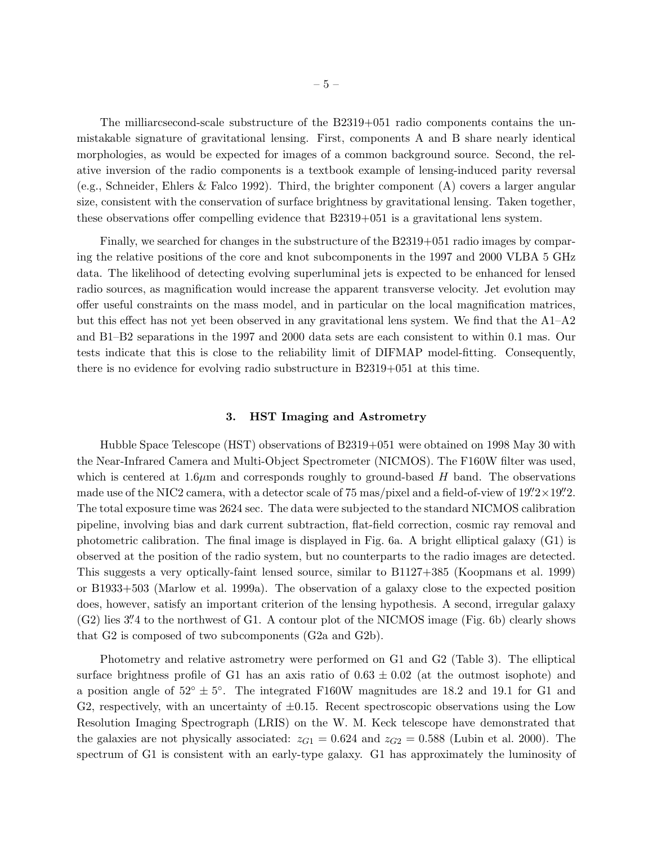The milliarcsecond-scale substructure of the B2319+051 radio components contains the unmistakable signature of gravitational lensing. First, components A and B share nearly identical morphologies, as would be expected for images of a common background source. Second, the relative inversion of the radio components is a textbook example of lensing-induced parity reversal (e.g., Schneider, Ehlers & Falco 1992). Third, the brighter component (A) covers a larger angular size, consistent with the conservation of surface brightness by gravitational lensing. Taken together, these observations offer compelling evidence that B2319+051 is a gravitational lens system.

Finally, we searched for changes in the substructure of the B2319+051 radio images by comparing the relative positions of the core and knot subcomponents in the 1997 and 2000 VLBA 5 GHz data. The likelihood of detecting evolving superluminal jets is expected to be enhanced for lensed radio sources, as magnification would increase the apparent transverse velocity. Jet evolution may offer useful constraints on the mass model, and in particular on the local magnification matrices, but this effect has not yet been observed in any gravitational lens system. We find that the A1–A2 and B1–B2 separations in the 1997 and 2000 data sets are each consistent to within 0.1 mas. Our tests indicate that this is close to the reliability limit of DIFMAP model-fitting. Consequently, there is no evidence for evolving radio substructure in B2319+051 at this time.

### 3. HST Imaging and Astrometry

Hubble Space Telescope (HST) observations of B2319+051 were obtained on 1998 May 30 with the Near-Infrared Camera and Multi-Object Spectrometer (NICMOS). The F160W filter was used, which is centered at 1.6 $\mu$ m and corresponds roughly to ground-based H band. The observations made use of the NIC2 camera, with a detector scale of  $75$  mas/pixel and a field-of-view of  $19\rlap.{''}2 \times 19\rlap.{''}2.$ The total exposure time was 2624 sec. The data were subjected to the standard NICMOS calibration pipeline, involving bias and dark current subtraction, flat-field correction, cosmic ray removal and photometric calibration. The final image is displayed in Fig. 6a. A bright elliptical galaxy (G1) is observed at the position of the radio system, but no counterparts to the radio images are detected. This suggests a very optically-faint lensed source, similar to B1127+385 (Koopmans et al. 1999) or B1933+503 (Marlow et al. 1999a). The observation of a galaxy close to the expected position does, however, satisfy an important criterion of the lensing hypothesis. A second, irregular galaxy (G2) lies 3'' 4 to the northwest of G1. A contour plot of the NICMOS image (Fig. 6b) clearly shows that G2 is composed of two subcomponents (G2a and G2b).

Photometry and relative astrometry were performed on G1 and G2 (Table 3). The elliptical surface brightness profile of G1 has an axis ratio of  $0.63 \pm 0.02$  (at the outmost isophote) and a position angle of  $52^{\circ} \pm 5^{\circ}$ . The integrated F160W magnitudes are 18.2 and 19.1 for G1 and G2, respectively, with an uncertainty of  $\pm 0.15$ . Recent spectroscopic observations using the Low Resolution Imaging Spectrograph (LRIS) on the W. M. Keck telescope have demonstrated that the galaxies are not physically associated:  $z_{G1} = 0.624$  and  $z_{G2} = 0.588$  (Lubin et al. 2000). The spectrum of G1 is consistent with an early-type galaxy. G1 has approximately the luminosity of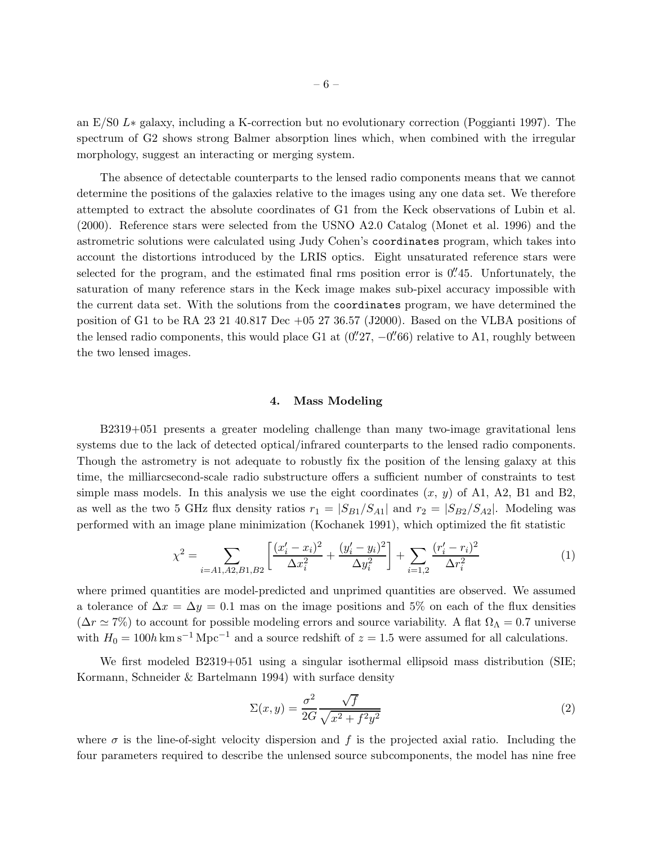an E/S0 L∗ galaxy, including a K-correction but no evolutionary correction (Poggianti 1997). The spectrum of G2 shows strong Balmer absorption lines which, when combined with the irregular morphology, suggest an interacting or merging system.

The absence of detectable counterparts to the lensed radio components means that we cannot determine the positions of the galaxies relative to the images using any one data set. We therefore attempted to extract the absolute coordinates of G1 from the Keck observations of Lubin et al. (2000). Reference stars were selected from the USNO A2.0 Catalog (Monet et al. 1996) and the astrometric solutions were calculated using Judy Cohen's coordinates program, which takes into account the distortions introduced by the LRIS optics. Eight unsaturated reference stars were selected for the program, and the estimated final rms position error is 0''45. Unfortunately, the saturation of many reference stars in the Keck image makes sub-pixel accuracy impossible with the current data set. With the solutions from the coordinates program, we have determined the position of G1 to be RA 23 21 40.817 Dec  $+05$  27 36.57 (J2000). Based on the VLBA positions of the lensed radio components, this would place G1 at  $(0.^{\prime\prime}27, -0.^{\prime\prime}66)$  relative to A1, roughly between the two lensed images.

#### 4. Mass Modeling

B2319+051 presents a greater modeling challenge than many two-image gravitational lens systems due to the lack of detected optical/infrared counterparts to the lensed radio components. Though the astrometry is not adequate to robustly fix the position of the lensing galaxy at this time, the milliarcsecond-scale radio substructure offers a sufficient number of constraints to test simple mass models. In this analysis we use the eight coordinates  $(x, y)$  of A1, A2, B1 and B2, as well as the two 5 GHz flux density ratios  $r_1 = |S_{B1}/S_{A1}|$  and  $r_2 = |S_{B2}/S_{A2}|$ . Modeling was performed with an image plane minimization (Kochanek 1991), which optimized the fit statistic

$$
\chi^2 = \sum_{i=A1, A2, B1, B2} \left[ \frac{(x_i' - x_i)^2}{\Delta x_i^2} + \frac{(y_i' - y_i)^2}{\Delta y_i^2} \right] + \sum_{i=1, 2} \frac{(r_i' - r_i)^2}{\Delta r_i^2}
$$
(1)

where primed quantities are model-predicted and unprimed quantities are observed. We assumed a tolerance of  $\Delta x = \Delta y = 0.1$  mas on the image positions and 5% on each of the flux densities  $(\Delta r \simeq 7\%)$  to account for possible modeling errors and source variability. A flat  $\Omega_{\Lambda} = 0.7$  universe with  $H_0 = 100h \text{ km s}^{-1} \text{ Mpc}^{-1}$  and a source redshift of  $z = 1.5$  were assumed for all calculations.

We first modeled B2319+051 using a singular isothermal ellipsoid mass distribution (SIE; Kormann, Schneider & Bartelmann 1994) with surface density

$$
\Sigma(x,y) = \frac{\sigma^2}{2G} \frac{\sqrt{f}}{\sqrt{x^2 + f^2 y^2}}
$$
\n(2)

where  $\sigma$  is the line-of-sight velocity dispersion and f is the projected axial ratio. Including the four parameters required to describe the unlensed source subcomponents, the model has nine free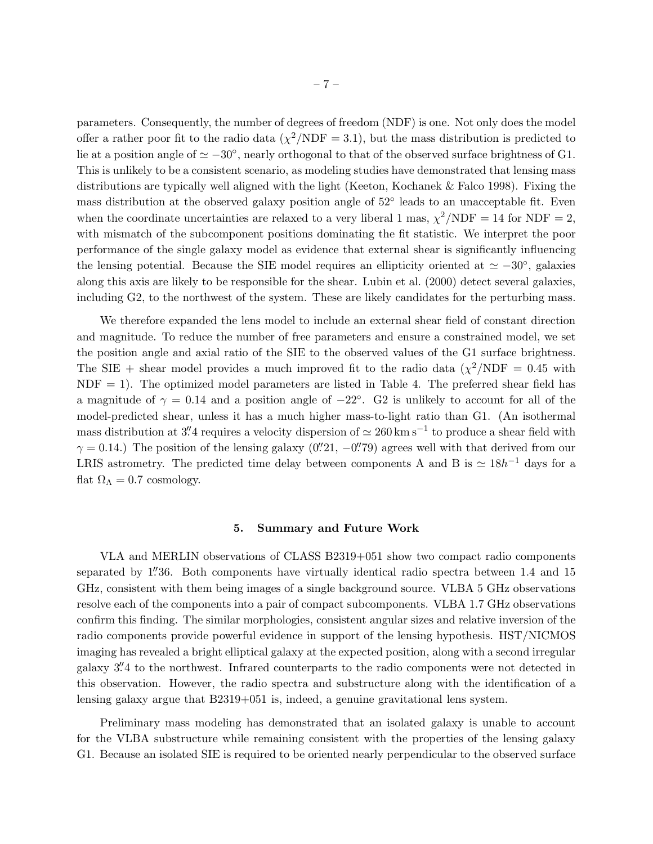parameters. Consequently, the number of degrees of freedom (NDF) is one. Not only does the model offer a rather poor fit to the radio data  $(\chi^2/\text{NDF} = 3.1)$ , but the mass distribution is predicted to lie at a position angle of  $\simeq -30^{\circ}$ , nearly orthogonal to that of the observed surface brightness of G1. This is unlikely to be a consistent scenario, as modeling studies have demonstrated that lensing mass distributions are typically well aligned with the light (Keeton, Kochanek & Falco 1998). Fixing the mass distribution at the observed galaxy position angle of 52° leads to an unacceptable fit. Even when the coordinate uncertainties are relaxed to a very liberal 1 mas,  $\chi^2/\text{NDF} = 14$  for NDF = 2, with mismatch of the subcomponent positions dominating the fit statistic. We interpret the poor performance of the single galaxy model as evidence that external shear is significantly influencing the lensing potential. Because the SIE model requires an ellipticity oriented at  $\simeq -30^{\circ}$ , galaxies along this axis are likely to be responsible for the shear. Lubin et al. (2000) detect several galaxies, including G2, to the northwest of the system. These are likely candidates for the perturbing mass.

We therefore expanded the lens model to include an external shear field of constant direction and magnitude. To reduce the number of free parameters and ensure a constrained model, we set the position angle and axial ratio of the SIE to the observed values of the G1 surface brightness. The SIE + shear model provides a much improved fit to the radio data  $(\chi^2/\text{NDF} = 0.45 \text{ with}$  $NDF = 1$ . The optimized model parameters are listed in Table 4. The preferred shear field has a magnitude of  $\gamma = 0.14$  and a position angle of  $-22^{\circ}$ . G2 is unlikely to account for all of the model-predicted shear, unless it has a much higher mass-to-light ratio than G1. (An isothermal mass distribution at 3'' a requires a velocity dispersion of  $\simeq 260 \,\mathrm{km \, s^{-1}}$  to produce a shear field with  $\gamma = 0.14$ .) The position of the lensing galaxy (0''21, -0''79) agrees well with that derived from our LRIS astrometry. The predicted time delay between components A and B is  $\simeq 18h^{-1}$  days for a flat  $\Omega_{\Lambda} = 0.7$  cosmology.

#### 5. Summary and Future Work

VLA and MERLIN observations of CLASS B2319+051 show two compact radio components separated by 1''36. Both components have virtually identical radio spectra between 1.4 and 15 GHz, consistent with them being images of a single background source. VLBA 5 GHz observations resolve each of the components into a pair of compact subcomponents. VLBA 1.7 GHz observations confirm this finding. The similar morphologies, consistent angular sizes and relative inversion of the radio components provide powerful evidence in support of the lensing hypothesis. HST/NICMOS imaging has revealed a bright elliptical galaxy at the expected position, along with a second irregular galaxy 3'' 4 to the northwest. Infrared counterparts to the radio components were not detected in this observation. However, the radio spectra and substructure along with the identification of a lensing galaxy argue that B2319+051 is, indeed, a genuine gravitational lens system.

Preliminary mass modeling has demonstrated that an isolated galaxy is unable to account for the VLBA substructure while remaining consistent with the properties of the lensing galaxy G1. Because an isolated SIE is required to be oriented nearly perpendicular to the observed surface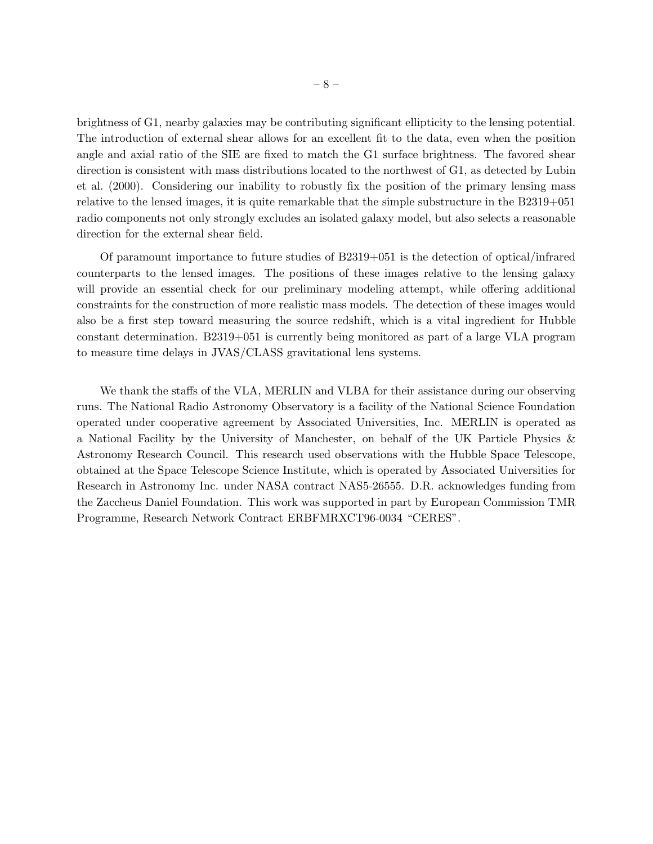brightness of G1, nearby galaxies may be contributing significant ellipticity to the lensing potential. The introduction of external shear allows for an excellent fit to the data, even when the position angle and axial ratio of the SIE are fixed to match the G1 surface brightness. The favored shear direction is consistent with mass distributions located to the northwest of G1, as detected by Lubin et al. (2000). Considering our inability to robustly fix the position of the primary lensing mass relative to the lensed images, it is quite remarkable that the simple substructure in the B2319+051 radio components not only strongly excludes an isolated galaxy model, but also selects a reasonable direction for the external shear field.

Of paramount importance to future studies of B2319+051 is the detection of optical/infrared counterparts to the lensed images. The positions of these images relative to the lensing galaxy will provide an essential check for our preliminary modeling attempt, while offering additional constraints for the construction of more realistic mass models. The detection of these images would also be a first step toward measuring the source redshift, which is a vital ingredient for Hubble constant determination. B2319+051 is currently being monitored as part of a large VLA program to measure time delays in JVAS/CLASS gravitational lens systems.

We thank the staffs of the VLA, MERLIN and VLBA for their assistance during our observing runs. The National Radio Astronomy Observatory is a facility of the National Science Foundation operated under cooperative agreement by Associated Universities, Inc. MERLIN is operated as a National Facility by the University of Manchester, on behalf of the UK Particle Physics & Astronomy Research Council. This research used observations with the Hubble Space Telescope, obtained at the Space Telescope Science Institute, which is operated by Associated Universities for Research in Astronomy Inc. under NASA contract NAS5-26555. D.R. acknowledges funding from the Zaccheus Daniel Foundation. This work was supported in part by European Commission TMR Programme, Research Network Contract ERBFMRXCT96-0034 "CERES".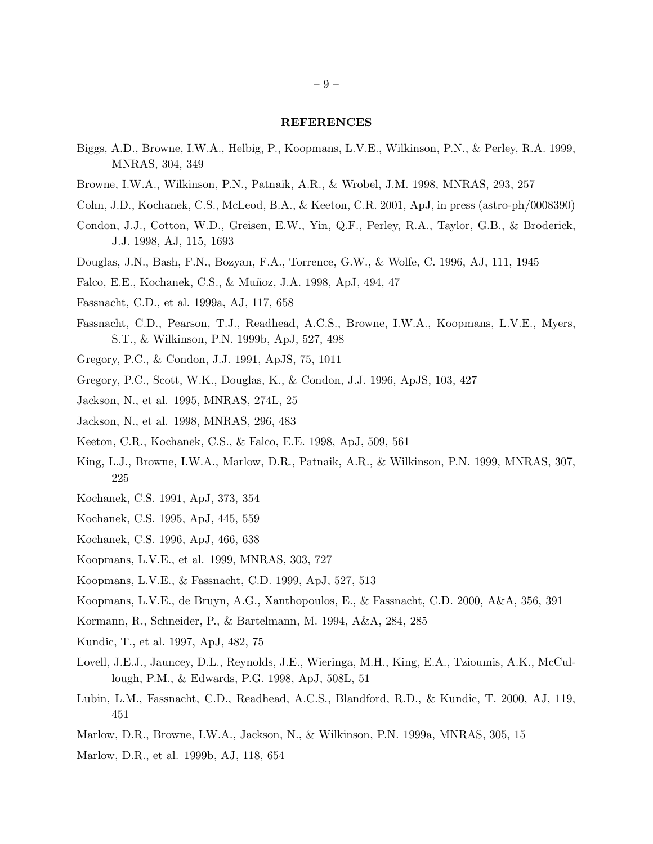### REFERENCES

- Biggs, A.D., Browne, I.W.A., Helbig, P., Koopmans, L.V.E., Wilkinson, P.N., & Perley, R.A. 1999, MNRAS, 304, 349
- Browne, I.W.A., Wilkinson, P.N., Patnaik, A.R., & Wrobel, J.M. 1998, MNRAS, 293, 257
- Cohn, J.D., Kochanek, C.S., McLeod, B.A., & Keeton, C.R. 2001, ApJ, in press (astro-ph/0008390)
- Condon, J.J., Cotton, W.D., Greisen, E.W., Yin, Q.F., Perley, R.A., Taylor, G.B., & Broderick, J.J. 1998, AJ, 115, 1693
- Douglas, J.N., Bash, F.N., Bozyan, F.A., Torrence, G.W., & Wolfe, C. 1996, AJ, 111, 1945
- Falco, E.E., Kochanek, C.S., & Muñoz, J.A. 1998, ApJ, 494, 47
- Fassnacht, C.D., et al. 1999a, AJ, 117, 658
- Fassnacht, C.D., Pearson, T.J., Readhead, A.C.S., Browne, I.W.A., Koopmans, L.V.E., Myers, S.T., & Wilkinson, P.N. 1999b, ApJ, 527, 498
- Gregory, P.C., & Condon, J.J. 1991, ApJS, 75, 1011
- Gregory, P.C., Scott, W.K., Douglas, K., & Condon, J.J. 1996, ApJS, 103, 427
- Jackson, N., et al. 1995, MNRAS, 274L, 25
- Jackson, N., et al. 1998, MNRAS, 296, 483
- Keeton, C.R., Kochanek, C.S., & Falco, E.E. 1998, ApJ, 509, 561
- King, L.J., Browne, I.W.A., Marlow, D.R., Patnaik, A.R., & Wilkinson, P.N. 1999, MNRAS, 307, 225
- Kochanek, C.S. 1991, ApJ, 373, 354
- Kochanek, C.S. 1995, ApJ, 445, 559
- Kochanek, C.S. 1996, ApJ, 466, 638
- Koopmans, L.V.E., et al. 1999, MNRAS, 303, 727
- Koopmans, L.V.E., & Fassnacht, C.D. 1999, ApJ, 527, 513
- Koopmans, L.V.E., de Bruyn, A.G., Xanthopoulos, E., & Fassnacht, C.D. 2000, A&A, 356, 391
- Kormann, R., Schneider, P., & Bartelmann, M. 1994, A&A, 284, 285
- Kundic, T., et al. 1997, ApJ, 482, 75
- Lovell, J.E.J., Jauncey, D.L., Reynolds, J.E., Wieringa, M.H., King, E.A., Tzioumis, A.K., McCullough, P.M., & Edwards, P.G. 1998, ApJ, 508L, 51
- Lubin, L.M., Fassnacht, C.D., Readhead, A.C.S., Blandford, R.D., & Kundic, T. 2000, AJ, 119, 451
- Marlow, D.R., Browne, I.W.A., Jackson, N., & Wilkinson, P.N. 1999a, MNRAS, 305, 15
- Marlow, D.R., et al. 1999b, AJ, 118, 654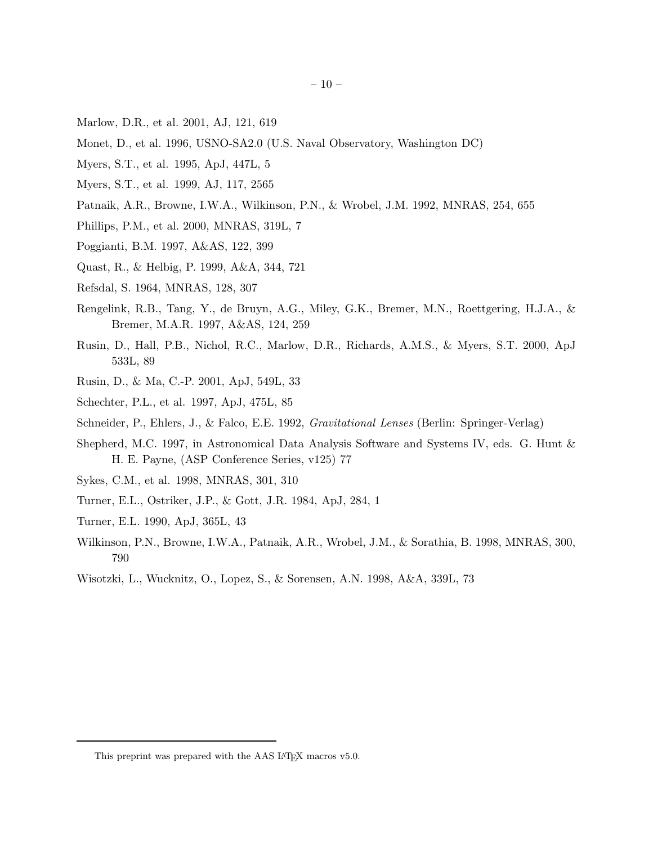- Marlow, D.R., et al. 2001, AJ, 121, 619
- Monet, D., et al. 1996, USNO-SA2.0 (U.S. Naval Observatory, Washington DC)
- Myers, S.T., et al. 1995, ApJ, 447L, 5
- Myers, S.T., et al. 1999, AJ, 117, 2565
- Patnaik, A.R., Browne, I.W.A., Wilkinson, P.N., & Wrobel, J.M. 1992, MNRAS, 254, 655
- Phillips, P.M., et al. 2000, MNRAS, 319L, 7
- Poggianti, B.M. 1997, A&AS, 122, 399
- Quast, R., & Helbig, P. 1999, A&A, 344, 721
- Refsdal, S. 1964, MNRAS, 128, 307
- Rengelink, R.B., Tang, Y., de Bruyn, A.G., Miley, G.K., Bremer, M.N., Roettgering, H.J.A., & Bremer, M.A.R. 1997, A&AS, 124, 259
- Rusin, D., Hall, P.B., Nichol, R.C., Marlow, D.R., Richards, A.M.S., & Myers, S.T. 2000, ApJ 533L, 89
- Rusin, D., & Ma, C.-P. 2001, ApJ, 549L, 33
- Schechter, P.L., et al. 1997, ApJ, 475L, 85
- Schneider, P., Ehlers, J., & Falco, E.E. 1992, *Gravitational Lenses* (Berlin: Springer-Verlag)
- Shepherd, M.C. 1997, in Astronomical Data Analysis Software and Systems IV, eds. G. Hunt & H. E. Payne, (ASP Conference Series, v125) 77
- Sykes, C.M., et al. 1998, MNRAS, 301, 310
- Turner, E.L., Ostriker, J.P., & Gott, J.R. 1984, ApJ, 284, 1
- Turner, E.L. 1990, ApJ, 365L, 43
- Wilkinson, P.N., Browne, I.W.A., Patnaik, A.R., Wrobel, J.M., & Sorathia, B. 1998, MNRAS, 300, 790
- Wisotzki, L., Wucknitz, O., Lopez, S., & Sorensen, A.N. 1998, A&A, 339L, 73

This preprint was prepared with the AAS IATEX macros v5.0.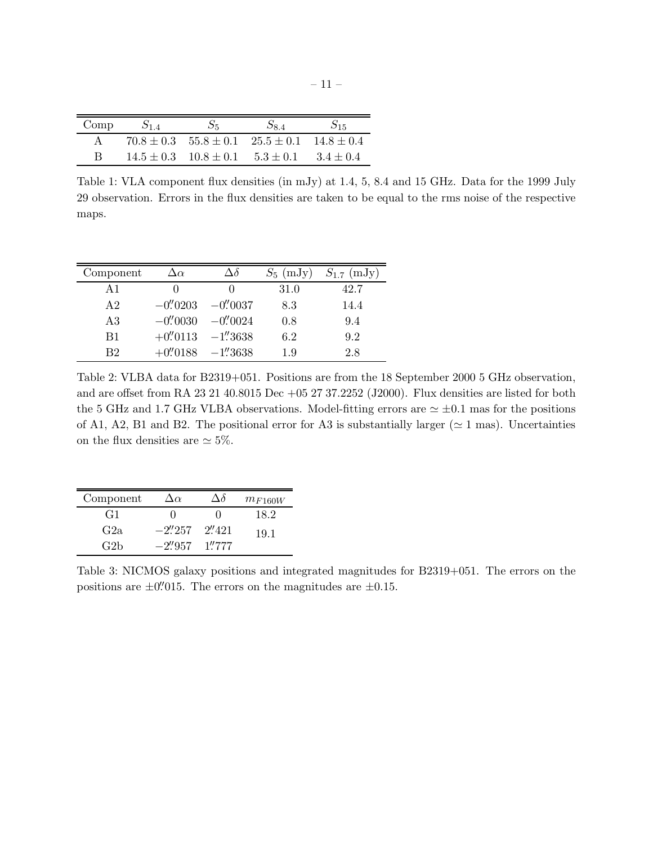| Comp | $S_{1.4}$ | $S_5$                                                       | $S_{8.4}$ | $S_{15}$ |
|------|-----------|-------------------------------------------------------------|-----------|----------|
|      |           | $70.8 \pm 0.3$ $55.8 \pm 0.1$ $25.5 \pm 0.1$ $14.8 \pm 0.4$ |           |          |
| R    |           | $14.5 \pm 0.3$ $10.8 \pm 0.1$ $5.3 \pm 0.1$ $3.4 \pm 0.4$   |           |          |

Table 1: VLA component flux densities (in mJy) at 1.4, 5, 8.4 and 15 GHz. Data for the 1999 July 29 observation. Errors in the flux densities are taken to be equal to the rms noise of the respective maps.

| Component      | $\Delta \alpha$ | $\Delta \delta$                      |      | $S_5$ (mJy) $S_{1.7}$ (mJy) |
|----------------|-----------------|--------------------------------------|------|-----------------------------|
| A1             | $\cup$          |                                      | 31.0 | 42.7                        |
| A <sub>2</sub> |                 | $-0\rlap.{''}0203 - 0\rlap.{''}0037$ | 8.3  | 14.4                        |
| A3             |                 | $-0\rlap.{''}0030 -0\rlap.{''}0024$  | 0.8  | 9.4                         |
| B1             |                 | $+0\rlap.{''}0113 -1\rlap.{''}3638$  | 6.2  | 9.2                         |
| B2             |                 | $+0\rlap.{''}0188 -1\rlap.{''}3638$  | 1.9  | 2.8                         |

Table 2: VLBA data for B2319+051. Positions are from the 18 September 2000 5 GHz observation, and are offset from RA 23 21 40.8015 Dec +05 27 37.2252 (J2000). Flux densities are listed for both the 5 GHz and 1.7 GHz VLBA observations. Model-fitting errors are  $\simeq \pm 0.1$  mas for the positions of A1, A2, B1 and B2. The positional error for A3 is substantially larger ( $\simeq$  1 mas). Uncertainties on the flux densities are  $\simeq$  5%.

| Component       | $\Delta \alpha$         | Λδ     | $m_{F160W}$ |
|-----------------|-------------------------|--------|-------------|
| G1              |                         |        | 18.2        |
| G2a             | $-2\frac{7}{257}$       | 2''421 | 19.1        |
| G2 <sub>b</sub> | $-2\rlap.{''}957$ 1"777 |        |             |

Table 3: NICMOS galaxy positions and integrated magnitudes for B2319+051. The errors on the positions are  $\pm 0''$ . The errors on the magnitudes are  $\pm 0.15$ .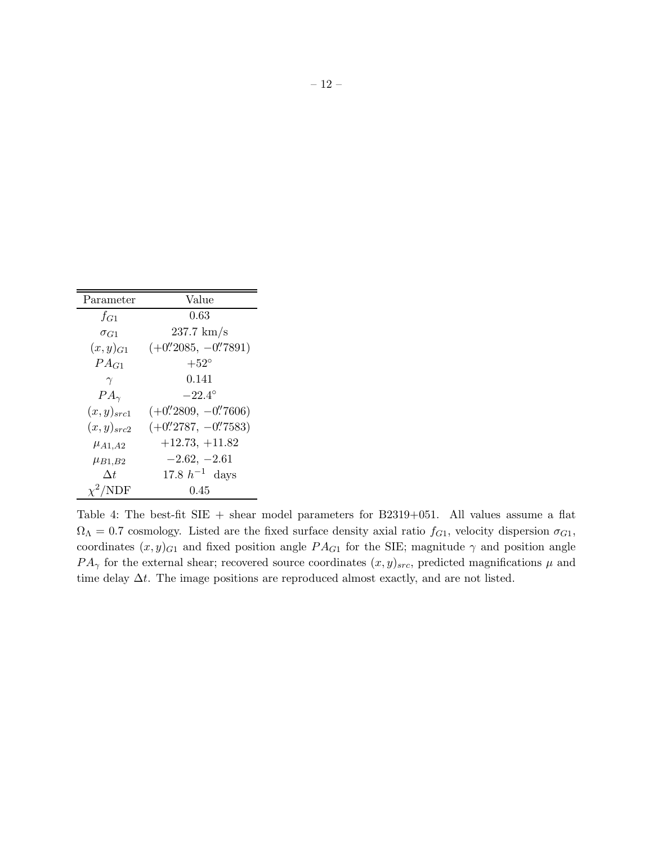| Parameter              | Value                                                                |
|------------------------|----------------------------------------------------------------------|
| $f_{G1}$               | 0.63                                                                 |
| $\sigma$ <sub>G1</sub> | $237.7 \text{ km/s}$                                                 |
| $(x,y)_{G1}$           | $(+0\rlap{.}^{\prime\prime}2085, -0\rlap{.}^{\prime\prime}7891)$     |
| $PA_{G1}$              | $+52^{\circ}$                                                        |
| $\gamma$               | 0.141                                                                |
| $PA_{\gamma}$          | $-22.4^{\circ}$                                                      |
| $(x,y)_{src1}$         | $(+0\frac{'}{2809}, -0\frac{'}{7606})$                               |
| $(x,y)_{src2}$         | $(+0\rlap{.}^{\prime\prime}\n2787, -0\rlap{.}^{\prime\prime}\n7583)$ |
| $\mu$ A1,A2            | $+12.73, +11.82$                                                     |
| $\mu_{B1,B2}$          | $-2.62, -2.61$                                                       |
| $\Delta t$             | 17.8 $h^{-1}$ days                                                   |
| $\chi^2/\text{NDF}$    | 0.45                                                                 |

Table 4: The best-fit SIE + shear model parameters for B2319+051. All values assume a flat  $\Omega_{\Lambda} = 0.7$  cosmology. Listed are the fixed surface density axial ratio  $f_{G1}$ , velocity dispersion  $\sigma_{G1}$ , coordinates  $(x, y)_{G1}$  and fixed position angle  $PA_{G1}$  for the SIE; magnitude  $\gamma$  and position angle  $PA_{\gamma}$  for the external shear; recovered source coordinates  $(x, y)_{src}$ , predicted magnifications  $\mu$  and time delay  $\Delta t$ . The image positions are reproduced almost exactly, and are not listed.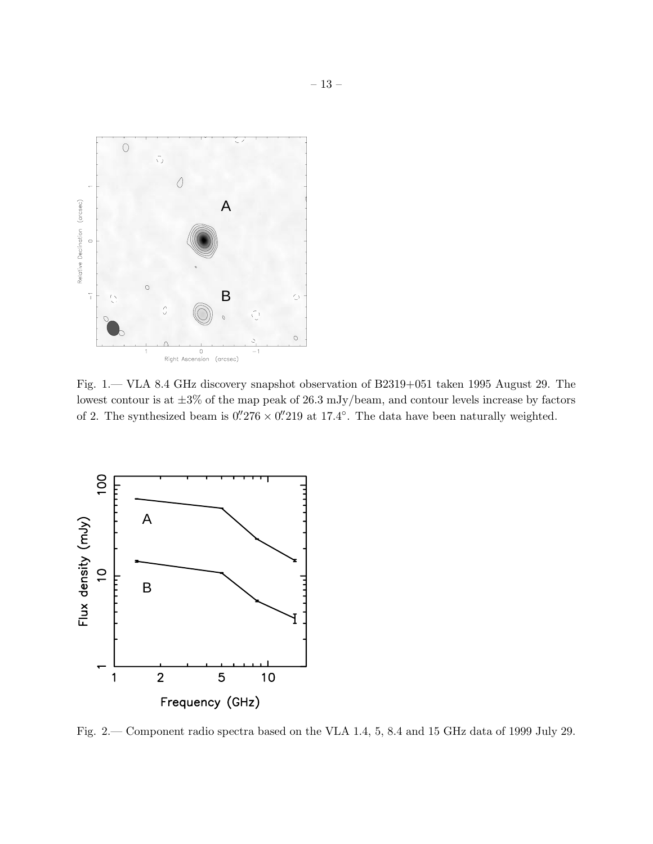

Fig. 1.— VLA 8.4 GHz discovery snapshot observation of B2319+051 taken 1995 August 29. The lowest contour is at  $\pm 3\%$  of the map peak of 26.3 mJy/beam, and contour levels increase by factors of 2. The synthesized beam is  $0.^{\prime\prime}276\times0.^{\prime\prime}219$  at 17.4°. The data have been naturally weighted.



Fig. 2.— Component radio spectra based on the VLA 1.4, 5, 8.4 and 15 GHz data of 1999 July 29.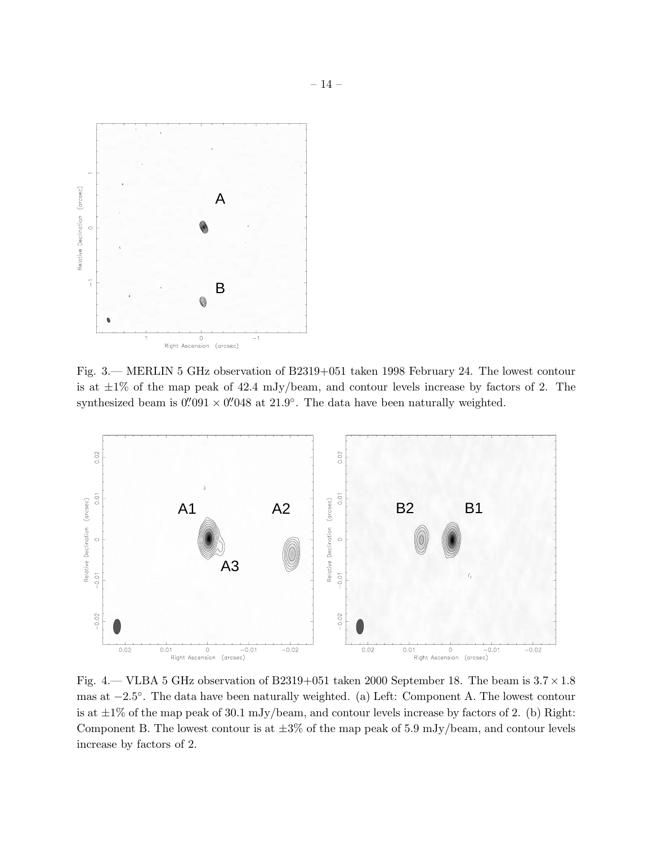

Fig. 3.— MERLIN 5 GHz observation of B2319+051 taken 1998 February 24. The lowest contour is at  $\pm 1\%$  of the map peak of 42.4 mJy/beam, and contour levels increase by factors of 2. The synthesized beam is  $0.^{\prime\prime}091\times0.^{\prime\prime}048$  at  $21.9^\circ$ . The data have been naturally weighted.



Fig. 4.— VLBA 5 GHz observation of B2319+051 taken 2000 September 18. The beam is  $3.7 \times 1.8$ mas at −2.5 ◦ . The data have been naturally weighted. (a) Left: Component A. The lowest contour is at  $\pm 1\%$  of the map peak of 30.1 mJy/beam, and contour levels increase by factors of 2. (b) Right: Component B. The lowest contour is at  $\pm 3\%$  of the map peak of 5.9 mJy/beam, and contour levels increase by factors of 2.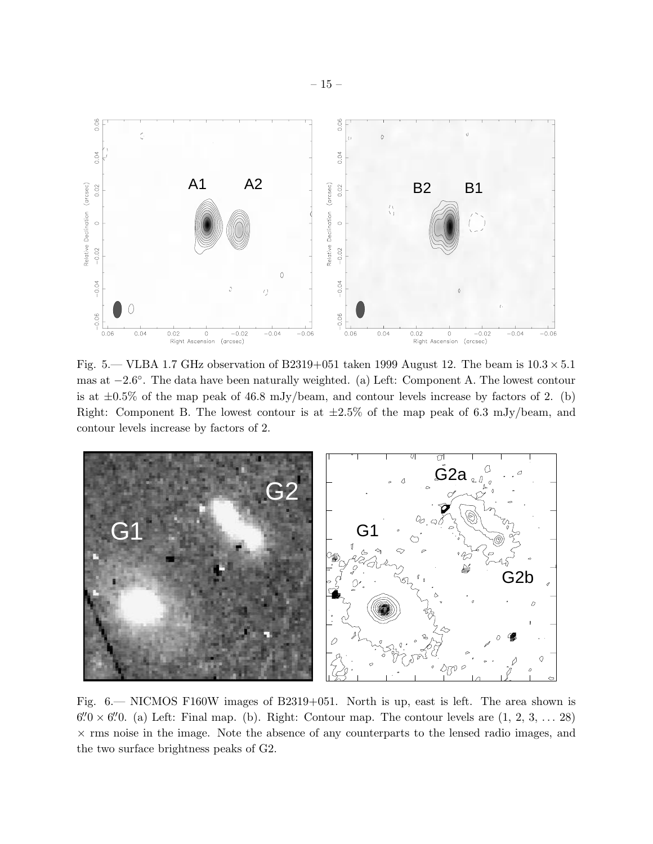

Fig. 5.— VLBA 1.7 GHz observation of B2319+051 taken 1999 August 12. The beam is  $10.3 \times 5.1$ mas at −2.6 ◦ . The data have been naturally weighted. (a) Left: Component A. The lowest contour is at  $\pm 0.5\%$  of the map peak of 46.8 mJy/beam, and contour levels increase by factors of 2. (b) Right: Component B. The lowest contour is at  $\pm 2.5\%$  of the map peak of 6.3 mJy/beam, and contour levels increase by factors of 2.



Fig. 6.— NICMOS F160W images of B2319+051. North is up, east is left. The area shown is  $6\rlap.{''0} \times 6\rlap.{''0}$ . (a) Left: Final map. (b). Right: Contour map. The contour levels are  $(1, 2, 3, \ldots 28)$  $\times$  rms noise in the image. Note the absence of any counterparts to the lensed radio images, and the two surface brightness peaks of G2.